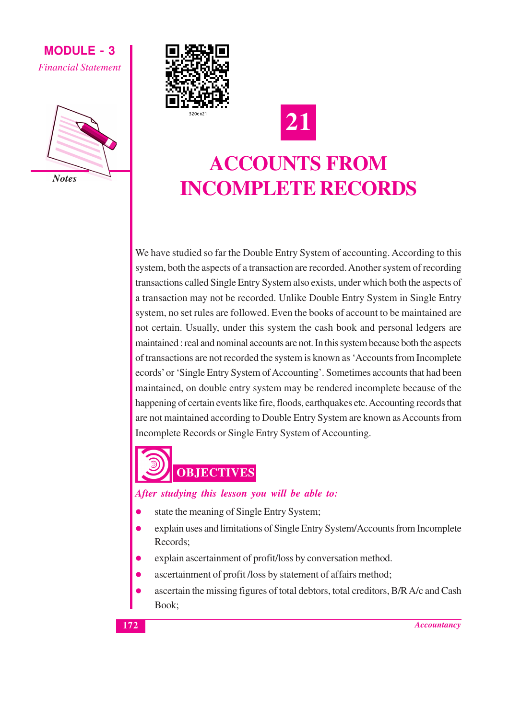





# **ACCOUNTS FROM INCOMPLETE RECORDS**

We have studied so far the Double Entry System of accounting. According to this system, both the aspects of a transaction are recorded. Another system of recording transactions called Single Entry System also exists, under which both the aspects of a transaction may not be recorded. Unlike Double Entry System in Single Entry system, no set rules are followed. Even the books of account to be maintained are not certain. Usually, under this system the cash book and personal ledgers are maintained : real and nominal accounts are not. In this system because both the aspects of transactions are not recorded the system is known as 'Accounts from Incomplete ecords' or 'Single Entry System of Accounting'. Sometimes accounts that had been maintained, on double entry system may be rendered incomplete because of the happening of certain events like fire, floods, earthquakes etc. Accounting records that are not maintained according to Double Entry System are known as Accounts from Incomplete Records or Single Entry System of Accounting.



#### After studying this lesson you will be able to:

- state the meaning of Single Entry System;
- explain uses and limitations of Single Entry System/Accounts from Incomplete Records:
- explain ascertainment of profit/loss by conversation method.
- ascertainment of profit /loss by statement of affairs method;
- ascertain the missing figures of total debtors, total creditors, B/R A/c and Cash Book;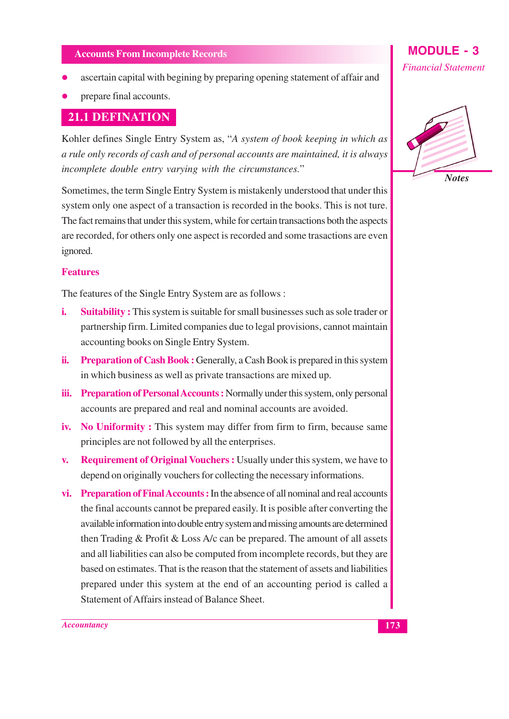- ascertain capital with begining by preparing opening statement of affair and
- prepare final accounts.

#### 21.1 DEFINATION

Kohler defines Single Entry System as, "A system of book keeping in which as a rule only records of cash and of personal accounts are maintained, it is always incomplete double entry varying with the circumstances."

Sometimes, the term Single Entry System is mistakenly understood that under this system only one aspect of a transaction is recorded in the books. This is not ture. The fact remains that under this system, while for certain transactions both the aspects are recorded, for others only one aspect is recorded and some trasactions are even ignored.

#### **Features**

The features of the Single Entry System are as follows:

- **Suitability:** This system is suitable for small businesses such as sole trader or i. partnership firm. Limited companies due to legal provisions, cannot maintain accounting books on Single Entry System.
- ii. Preparation of Cash Book: Generally, a Cash Book is prepared in this system in which business as well as private transactions are mixed up.
- iii. Preparation of Personal Accounts: Normally under this system, only personal accounts are prepared and real and nominal accounts are avoided.
- iv. No Uniformity: This system may differ from firm to firm, because same principles are not followed by all the enterprises.
- **Requirement of Original Vouchers :** Usually under this system, we have to  $V_{\bullet}$ depend on originally vouchers for collecting the necessary informations.
- vi. Preparation of Final Accounts: In the absence of all nominal and real accounts the final accounts cannot be prepared easily. It is posible after converting the available information into double entry system and missing amounts are determined then Trading & Profit & Loss A/c can be prepared. The amount of all assets and all liabilities can also be computed from incomplete records, but they are based on estimates. That is the reason that the statement of assets and liabilities prepared under this system at the end of an accounting period is called a Statement of Affairs instead of Balance Sheet.

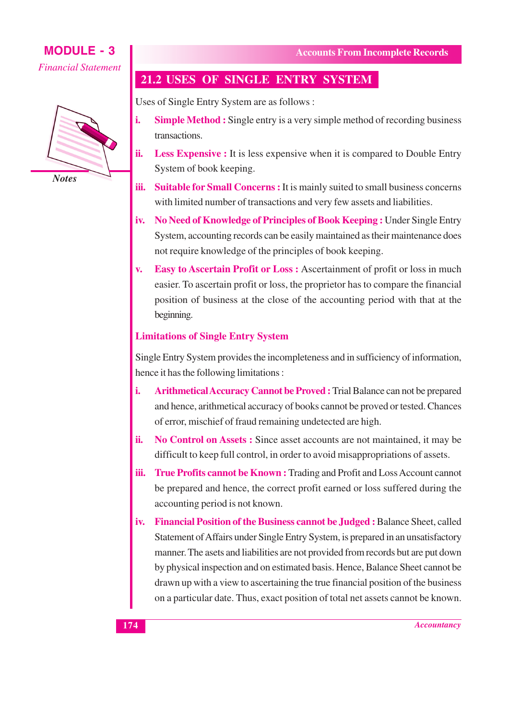

#### **Accounts From Incomplete Records**

#### 21.2 USES OF SINGLE ENTRY SYSTEM

Uses of Single Entry System are as follows:

- **Simple Method:** Single entry is a very simple method of recording business i. transactions.
- ii. **Less Expensive :** It is less expensive when it is compared to Double Entry System of book keeping.
- iii. **Suitable for Small Concerns:** It is mainly suited to small business concerns with limited number of transactions and very few assets and liabilities.
- No Need of Knowledge of Principles of Book Keeping: Under Single Entry iv. System, accounting records can be easily maintained as their maintenance does not require knowledge of the principles of book keeping.
- Easy to Ascertain Profit or Loss: Ascertainment of profit or loss in much easier. To ascertain profit or loss, the proprietor has to compare the financial position of business at the close of the accounting period with that at the beginning.

#### **Limitations of Single Entry System**

Single Entry System provides the incompleteness and in sufficiency of information, hence it has the following limitations:

- i. Arithmetical Accuracy Cannot be Proved: Trial Balance can not be prepared and hence, arithmetical accuracy of books cannot be proved or tested. Chances of error, mischief of fraud remaining undetected are high.
- ii. No Control on Assets: Since asset accounts are not maintained, it may be difficult to keep full control, in order to avoid misappropriations of assets.
- True Profits cannot be Known: Trading and Profit and Loss Account cannot iii. be prepared and hence, the correct profit earned or loss suffered during the accounting period is not known.
- iv. Financial Position of the Business cannot be Judged : Balance Sheet, called Statement of Affairs under Single Entry System, is prepared in an unsatisfactory manner. The asets and liabilities are not provided from records but are put down by physical inspection and on estimated basis. Hence, Balance Sheet cannot be drawn up with a view to ascertaining the true financial position of the business on a particular date. Thus, exact position of total net assets cannot be known.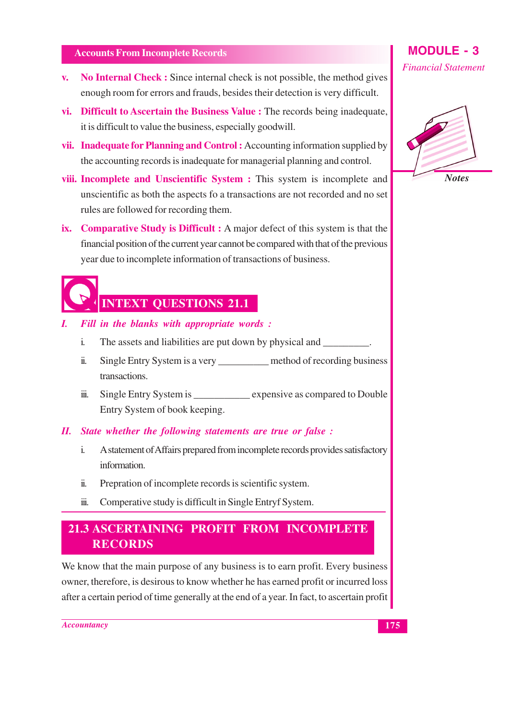- **v.** No Internal Check : Since internal check is not possible, the method gives enough room for errors and frauds, besides their detection is very difficult.
- vi. Difficult to Ascertain the Business Value : The records being inadequate, it is difficult to value the business, especially goodwill.
- vii. Inadequate for Planning and Control: Accounting information supplied by the accounting records is inadequate for managerial planning and control.
- viii. Incomplete and Unscientific System : This system is incomplete and unscientific as both the aspects fo a transactions are not recorded and no set rules are followed for recording them.
- ix. Comparative Study is Difficult : A major defect of this system is that the financial position of the current year cannot be compared with that of the previous year due to incomplete information of transactions of business.

## **INTEXT OUESTIONS 21.1**

- Fill in the blanks with appropriate words :
	- The assets and liabilities are put down by physical and  $\mathbf{i}$ .
	- Single Entry System is a very \_\_\_\_\_\_\_\_\_\_\_\_ method of recording business ii. transactions.
	- Single Entry System is \_\_\_\_\_\_\_\_\_\_\_\_\_ expensive as compared to Double  $\dddot{\mathbf{m}}$ . Entry System of book keeping.

II. State whether the following statements are true or false :

- $\mathbf{i}$ . A statement of Affairs prepared from incomplete records provides satisfactory information.
- $\dddot{\mathbf{n}}$ . Prepration of incomplete records is scientific system.
- Comperative study is difficult in Single Entryf System.  $\dddot{m}$ .

#### 21.3 ASCERTAINING PROFIT FROM INCOMPLETE **RECORDS**

We know that the main purpose of any business is to earn profit. Every business owner, therefore, is desirous to know whether he has earned profit or incurred loss after a certain period of time generally at the end of a year. In fact, to ascertain profit

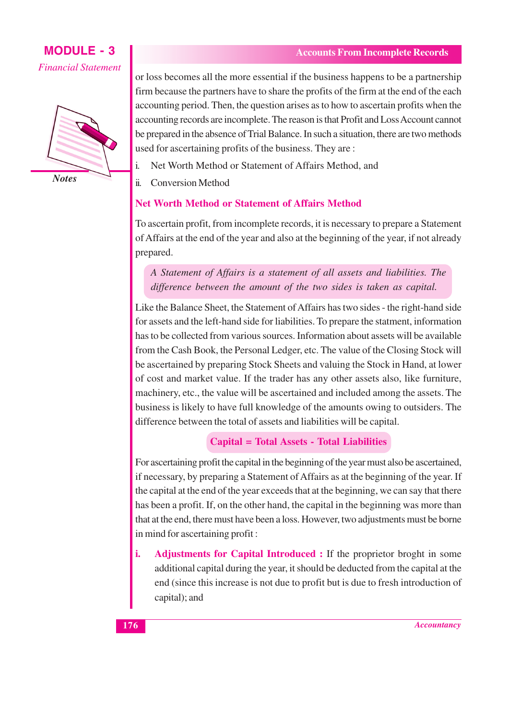#### **MODULE - 3 Financial Statement**



or loss becomes all the more essential if the business happens to be a partnership firm because the partners have to share the profits of the firm at the end of the each accounting period. Then, the question arises as to how to ascertain profits when the accounting records are incomplete. The reason is that Profit and Loss Account cannot be prepared in the absence of Trial Balance. In such a situation, there are two methods used for ascertaining profits of the business. They are:

- Net Worth Method or Statement of Affairs Method, and
- $\dddot{a}$ **Conversion Method**

 $\dot{1}$ 

#### **Net Worth Method or Statement of Affairs Method**

To ascertain profit, from incomplete records, it is necessary to prepare a Statement of Affairs at the end of the year and also at the beginning of the year, if not already prepared.

A Statement of Affairs is a statement of all assets and liabilities. The difference between the amount of the two sides is taken as capital.

Like the Balance Sheet, the Statement of Affairs has two sides - the right-hand side for assets and the left-hand side for liabilities. To prepare the statment, information has to be collected from various sources. Information about assets will be available from the Cash Book, the Personal Ledger, etc. The value of the Closing Stock will be ascertained by preparing Stock Sheets and valuing the Stock in Hand, at lower of cost and market value. If the trader has any other assets also, like furniture, machinery, etc., the value will be ascertained and included among the assets. The business is likely to have full knowledge of the amounts owing to outsiders. The difference between the total of assets and liabilities will be capital.

#### **Capital = Total Assets - Total Liabilities**

For ascertaining profit the capital in the beginning of the year must also be ascertained, if necessary, by preparing a Statement of Affairs as at the beginning of the year. If the capital at the end of the year exceeds that at the beginning, we can say that there has been a profit. If, on the other hand, the capital in the beginning was more than that at the end, there must have been a loss. However, two adjustments must be borne in mind for ascertaining profit:

î. Adjustments for Capital Introduced : If the proprietor broght in some additional capital during the year, it should be deducted from the capital at the end (since this increase is not due to profit but is due to fresh introduction of capital); and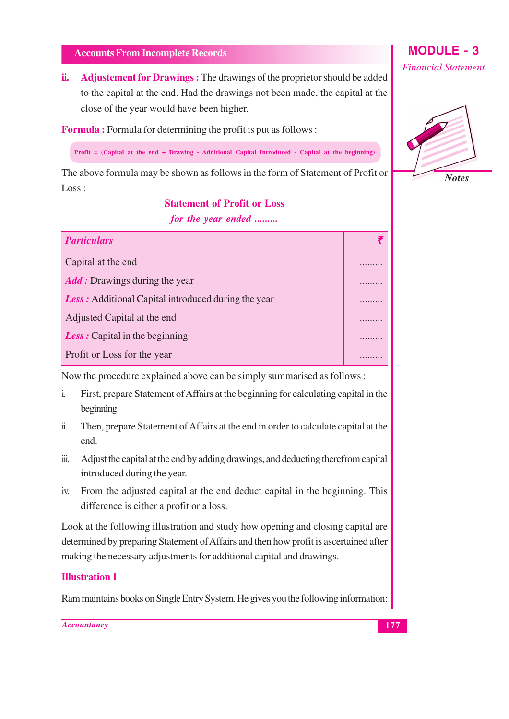ii. Adjustement for Drawings: The drawings of the proprietor should be added to the capital at the end. Had the drawings not been made, the capital at the close of the year would have been higher.

**Formula:** Formula for determining the profit is put as follows:

Profit = (Capital at the end + Drawing - Additional Capital Introduced - Capital at the beginning)

The above formula may be shown as follows in the form of Statement of Profit or  $Loss:$ 

#### **Statement of Profit or Loss**

for the year ended ........

| <b>Particulars</b>                                          |  |
|-------------------------------------------------------------|--|
| Capital at the end                                          |  |
| <b>Add</b> : Drawings during the year                       |  |
| <b>Less</b> : Additional Capital introduced during the year |  |
| Adjusted Capital at the end                                 |  |
| <b>Less</b> : Capital in the beginning                      |  |
| Profit or Loss for the year                                 |  |

Now the procedure explained above can be simply summarised as follows :

- $\mathbf{i}$ . First, prepare Statement of Affairs at the beginning for calculating capital in the beginning.
- $\ddot{\mathbf{n}}$ . Then, prepare Statement of Affairs at the end in order to calculate capital at the end.
- Adjust the capital at the end by adding drawings, and deducting therefrom capital  $\dddot{\mathbf{m}}$ . introduced during the year.
- From the adjusted capital at the end deduct capital in the beginning. This  $iv.$ difference is either a profit or a loss.

Look at the following illustration and study how opening and closing capital are determined by preparing Statement of Affairs and then how profit is ascertained after making the necessary adjustments for additional capital and drawings.

#### **Illustration 1**

Ram maintains books on Single Entry System. He gives you the following information:

#### **Accountancy**

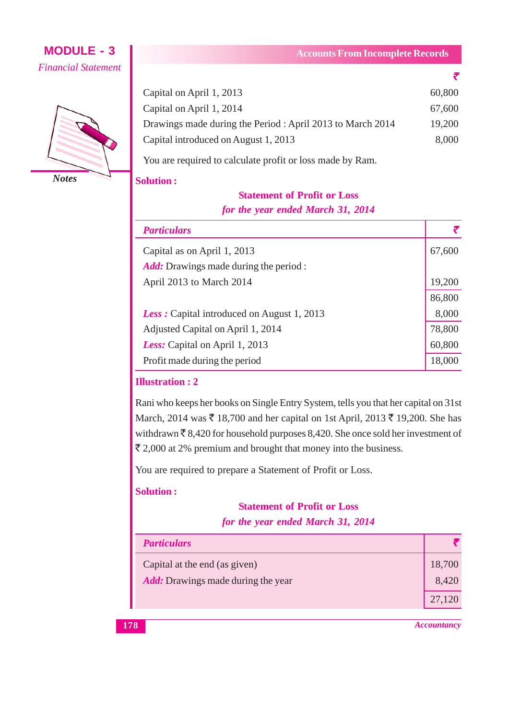

**Notes** 

|                                                            | ₹      |
|------------------------------------------------------------|--------|
| Capital on April 1, 2013                                   | 60,800 |
| Capital on April 1, 2014                                   | 67,600 |
| Drawings made during the Period : April 2013 to March 2014 | 19,200 |
| Capital introduced on August 1, 2013                       | 8,000  |

You are required to calculate profit or loss made by Ram.

#### **Solution:**

#### **Statement of Profit or Loss** for the year ended March 31, 2014

| <b>Particulars</b>                                 |        |
|----------------------------------------------------|--------|
| Capital as on April 1, 2013                        | 67,600 |
| <i>Add:</i> Drawings made during the period :      |        |
| April 2013 to March 2014                           | 19,200 |
|                                                    | 86,800 |
| <b>Less</b> : Capital introduced on August 1, 2013 | 8,000  |
| Adjusted Capital on April 1, 2014                  | 78,800 |
| Less: Capital on April 1, 2013                     | 60,800 |
| Profit made during the period                      | 18,000 |

#### **Illustration: 2**

Rani who keeps her books on Single Entry System, tells you that her capital on 31st March, 2014 was  $\bar{\xi}$  18,700 and her capital on 1st April, 2013  $\bar{\xi}$  19,200. She has withdrawn  $\bar{\xi}$  8,420 for household purposes 8,420. She once sold her investment of  $\bar{\xi}$  2,000 at 2% premium and brought that money into the business.

You are required to prepare a Statement of Profit or Loss.

#### **Solution:**

#### **Statement of Profit or Loss**

#### for the year ended March 31, 2014

| <b>Particulars</b>                        |        |
|-------------------------------------------|--------|
| Capital at the end (as given)             | 18,700 |
| <b>Add:</b> Drawings made during the year | 8,420  |
|                                           | 27,120 |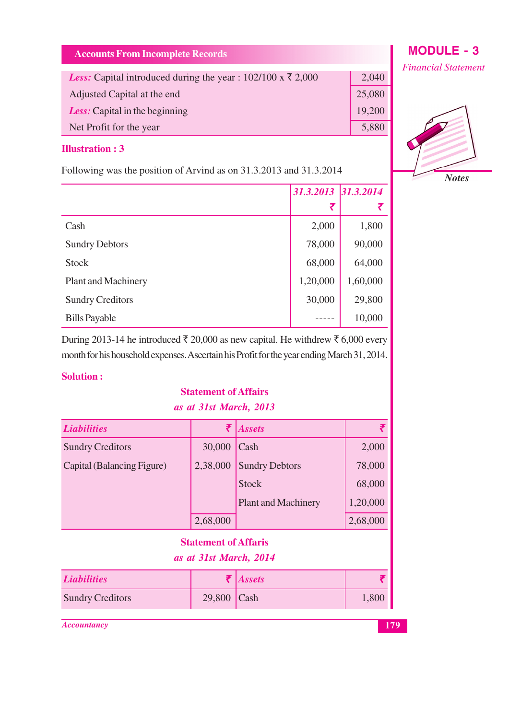| <b>Less:</b> Capital introduced during the year : $102/100 \times \overline{\xi}$ 2,000 | 2,040  |
|-----------------------------------------------------------------------------------------|--------|
| Adjusted Capital at the end                                                             | 25,080 |
| <b>Less:</b> Capital in the beginning                                                   | 19,200 |
| Net Profit for the year                                                                 | 5,880  |

#### **Illustration: 3**

Following was the position of Arvind as on 31.3.2013 and 31.3.2014

|                            | 31.3.2013 31.3.2014 |          |
|----------------------------|---------------------|----------|
|                            | ₹                   |          |
| Cash                       | 2,000               | 1,800    |
| <b>Sundry Debtors</b>      | 78,000              | 90,000   |
| <b>Stock</b>               | 68,000              | 64,000   |
| <b>Plant and Machinery</b> | 1,20,000            | 1,60,000 |
| <b>Sundry Creditors</b>    | 30,000              | 29,800   |
| <b>Bills Payable</b>       |                     | 10,000   |

During 2013-14 he introduced ₹ 20,000 as new capital. He withdrew ₹ 6,000 every month for his household expenses. Ascertain his Profit for the year ending March 31, 2014.

#### **Solution:**

#### **Statement of Affairs**

#### as at 31st March, 2013

| <b>Liabilities</b>         | ₹        | <b>Assets</b>              | ₹        |
|----------------------------|----------|----------------------------|----------|
| <b>Sundry Creditors</b>    | 30,000   | Cash                       | 2,000    |
| Capital (Balancing Figure) | 2,38,000 | <b>Sundry Debtors</b>      | 78,000   |
|                            |          | <b>Stock</b>               | 68,000   |
|                            |          | <b>Plant and Machinery</b> | 1,20,000 |
|                            | 2,68,000 |                            | 2,68,000 |

#### **Statement of Affaris** as at 31st March, 2014

| <b>Liabilities</b>      |                     | $\blacktriangleright$   Assets |  |
|-------------------------|---------------------|--------------------------------|--|
| <b>Sundry Creditors</b> | 29,800 $\vert$ Cash |                                |  |

**Accountancy** 



**Financial Statement** 

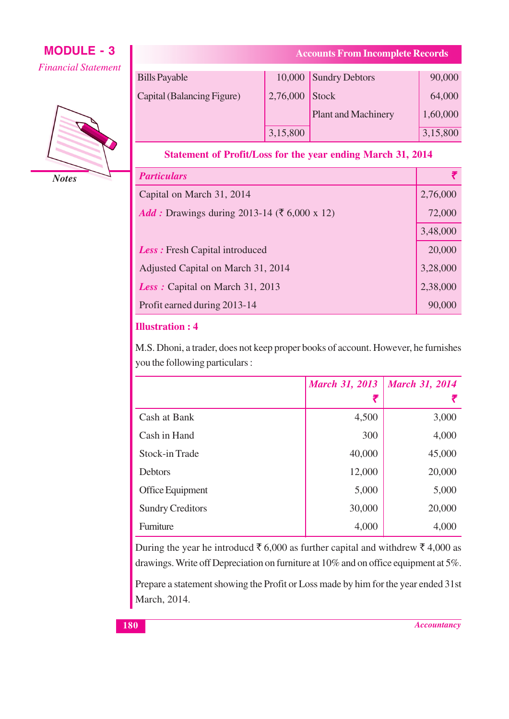$\overline{B}$  $\overline{C}$ 



**Notes** 

#### **Accounts From Incomplete Records**

| ills Payable              |                  | 10,000 Sundry Debtors      | 90,000   |
|---------------------------|------------------|----------------------------|----------|
| apital (Balancing Figure) | $2,76,000$ Stock |                            | 64,000   |
|                           |                  | <b>Plant and Machinery</b> | 1,60,000 |
|                           | 3,15,800         |                            | 3,15,800 |

#### **Statement of Profit/Loss for the year ending March 31, 2014**

| <b>Particulars</b>                                  |          |
|-----------------------------------------------------|----------|
| Capital on March 31, 2014                           | 2,76,000 |
| <i>Add</i> : Drawings during 2013-14 (₹ 6,000 x 12) | 72,000   |
|                                                     | 3,48,000 |
| <b>Less:</b> Fresh Capital introduced               | 20,000   |
| Adjusted Capital on March 31, 2014                  | 3,28,000 |
| <b>Less</b> : Capital on March 31, 2013             | 2,38,000 |
| Profit earned during 2013-14                        | 90,000   |

#### **Illustration: 4**

M.S. Dhoni, a trader, does not keep proper books of account. However, he furnishes you the following particulars:

|                         | <b>March 31, 2013</b> | <b>March 31, 2014</b> |
|-------------------------|-----------------------|-----------------------|
|                         | ₹                     |                       |
| Cash at Bank            | 4,500                 | 3,000                 |
| Cash in Hand            | 300                   | 4,000                 |
| Stock-in Trade          | 40,000                | 45,000                |
| <b>Debtors</b>          | 12,000                | 20,000                |
| Office Equipment        | 5,000                 | 5,000                 |
| <b>Sundry Creditors</b> | 30,000                | 20,000                |
| Furniture               | 4,000                 | 4,000                 |

During the year he introducd ₹ 6,000 as further capital and withdrew ₹ 4,000 as drawings. Write off Depreciation on furniture at 10% and on office equipment at 5%.

Prepare a statement showing the Profit or Loss made by him for the year ended 31st March, 2014.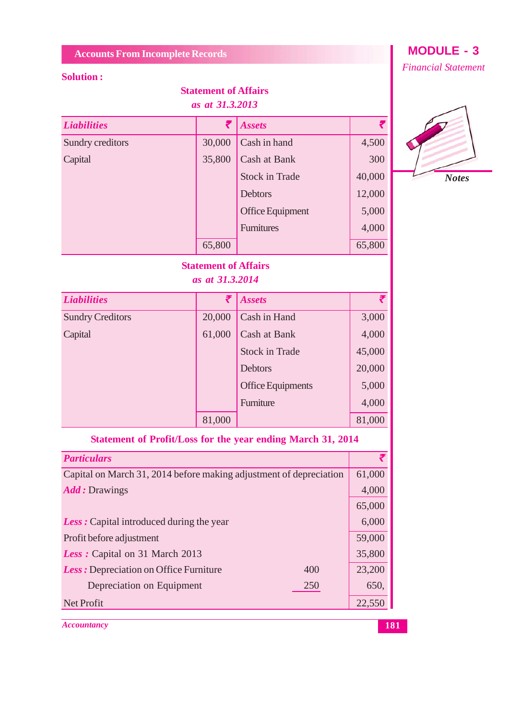#### **Solution:**

| as at 31.3.2013    |        |                       |        |
|--------------------|--------|-----------------------|--------|
| <b>Liabilities</b> | ₹      | <b>Assets</b>         | ₹      |
| Sundry creditors   | 30,000 | Cash in hand          | 4,500  |
| Capital            | 35,800 | Cash at Bank          | 300    |
|                    |        | <b>Stock in Trade</b> | 40,000 |
|                    |        | <b>Debtors</b>        | 12,000 |
|                    |        | Office Equipment      | 5,000  |
|                    |        | <b>Furnitures</b>     | 4,000  |
|                    | 65,800 |                       | 65,800 |

**Statement of Affairs** 

#### **Statement of Affairs** as at 31.3.2014

| <b>Liabilities</b>      | ₹      | <b>Assets</b>            |        |
|-------------------------|--------|--------------------------|--------|
| <b>Sundry Creditors</b> | 20,000 | Cash in Hand             | 3,000  |
| Capital                 | 61,000 | Cash at Bank             | 4,000  |
|                         |        | <b>Stock in Trade</b>    | 45,000 |
|                         |        | <b>Debtors</b>           | 20,000 |
|                         |        | <b>Office Equipments</b> | 5,000  |
|                         |        | Furniture                | 4,000  |
|                         | 81,000 |                          | 81,000 |

#### Statement of Profit/Loss for the year ending March 31, 2014

| <b>Particulars</b>                                                 |        |
|--------------------------------------------------------------------|--------|
| Capital on March 31, 2014 before making adjustment of depreciation | 61,000 |
| <b><i>Add</i></b> : Drawings                                       | 4,000  |
|                                                                    | 65,000 |
| <b>Less</b> : Capital introduced during the year                   | 6,000  |
| Profit before adjustment                                           |        |
| <b>Less</b> : Capital on 31 March 2013                             | 35,800 |
| <b>Less</b> : Depreciation on Office Furniture<br>400              | 23,200 |
| Depreciation on Equipment<br>250                                   | 650,   |
| Net Profit                                                         | 22,55  |

**Accountancy** 

## **MODULE - 3**

**Financial Statement** 

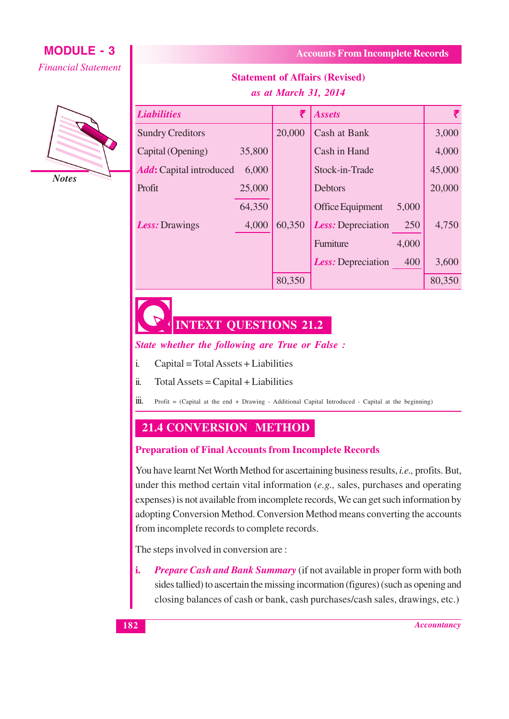

**Notes** 

#### **Accounts From Incomplete Records**

#### **Statement of Affairs (Revised)** as at March 31, 2014

| <b>Liabilities</b>             |        | ₹      | <b>Assets</b>             |       | ₹      |
|--------------------------------|--------|--------|---------------------------|-------|--------|
| <b>Sundry Creditors</b>        |        | 20,000 | Cash at Bank              |       | 3,000  |
| Capital (Opening)              | 35,800 |        | Cash in Hand              |       | 4,000  |
| <b>Add:</b> Capital introduced | 6,000  |        | Stock-in-Trade            |       | 45,000 |
| Profit                         | 25,000 |        | <b>Debtors</b>            |       | 20,000 |
|                                | 64,350 |        | Office Equipment          | 5,000 |        |
| <b>Less: Drawings</b>          | 4,000  | 60,350 | <b>Less:</b> Depreciation | 250   | 4,750  |
|                                |        |        | Furniture                 | 4,000 |        |
|                                |        |        | <b>Less:</b> Depreciation | 400   | 3,600  |
|                                |        | 80,350 |                           |       | 80,350 |

## **INTEXT QUESTIONS 21.2**

State whether the following are True or False:

- $\mathbf{i}$ . Capital = Total Assets + Liabilities
- $\dddot{\mathbf{u}}$ .  $Total Assets = Capital + Liabilities$
- iii. Profit = (Capital at the end + Drawing - Additional Capital Introduced - Capital at the beginning)

#### **21.4 CONVERSION METHOD**

#### **Preparation of Final Accounts from Incomplete Records**

You have learnt Net Worth Method for ascertaining business results, i.e., profits. But, under this method certain vital information  $(e.g.,\text{ sales},\text{ purchases}$  and operating expenses) is not available from incomplete records, We can get such information by adopting Conversion Method. Conversion Method means converting the accounts from incomplete records to complete records.

The steps involved in conversion are:

i. Prepare Cash and Bank Summary (if not available in proper form with both sides tallied) to ascertain the missing incormation (figures) (such as opening and closing balances of cash or bank, cash purchases/cash sales, drawings, etc.)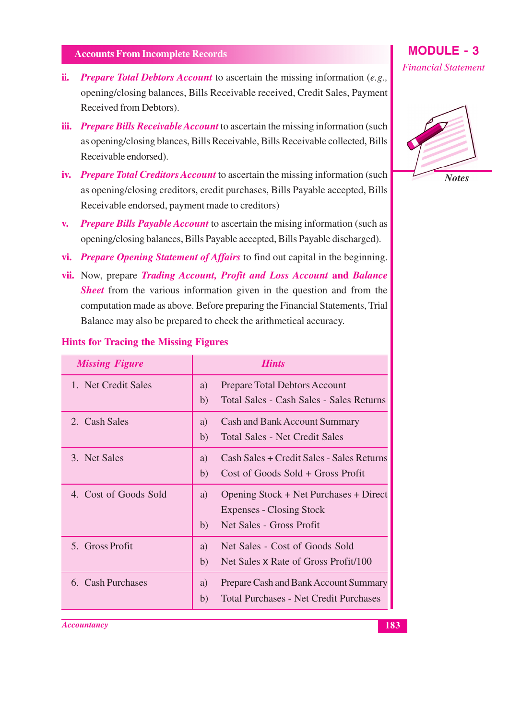- ii. Prepare Total Debtors Account to ascertain the missing information  $(e.g.,)$ opening/closing balances, Bills Receivable received, Credit Sales, Payment Received from Debtors).
- iii. *Prepare Bills Receivable Account* to ascertain the missing information (such as opening/closing blances, Bills Receivable, Bills Receivable collected, Bills Receivable endorsed).
- iv. Prepare Total Creditors Account to ascertain the missing information (such as opening/closing creditors, credit purchases, Bills Payable accepted, Bills Receivable endorsed, payment made to creditors)
- **v.** Prepare Bills Payable Account to ascertain the mising information (such as opening/closing balances, Bills Payable accepted, Bills Payable discharged).
- vi. Prepare Opening Statement of Affairs to find out capital in the beginning.
- vii. Now, prepare Trading Account, Profit and Loss Account and Balance **Sheet** from the various information given in the question and from the computation made as above. Before preparing the Financial Statements, Trial Balance may also be prepared to check the arithmetical accuracy.

| <b>Missing Figure</b> | <b>Hints</b>                                                                                                      |
|-----------------------|-------------------------------------------------------------------------------------------------------------------|
| 1. Net Credit Sales   | <b>Prepare Total Debtors Account</b><br>a)<br>Total Sales - Cash Sales - Sales Returns<br>b)                      |
| 2. Cash Sales         | <b>Cash and Bank Account Summary</b><br>a)<br><b>Total Sales - Net Credit Sales</b><br>b)                         |
| 3. Net Sales          | Cash Sales + Credit Sales - Sales Returns<br>a)<br>Cost of Goods Sold + Gross Profit<br>b)                        |
| 4. Cost of Goods Sold | Opening Stock + Net Purchases + Direct<br>a)<br><b>Expenses - Closing Stock</b><br>Net Sales - Gross Profit<br>b) |
| 5. Gross Profit       | Net Sales - Cost of Goods Sold<br>a)<br>Net Sales x Rate of Gross Profit/100<br>b)                                |
| 6. Cash Purchases     | Prepare Cash and Bank Account Summary<br>a)<br><b>Total Purchases - Net Credit Purchases</b><br>b)                |

#### **Hints for Tracing the Missing Figures**

#### **MODULE - 3 Financial Statement**



**Accountancy**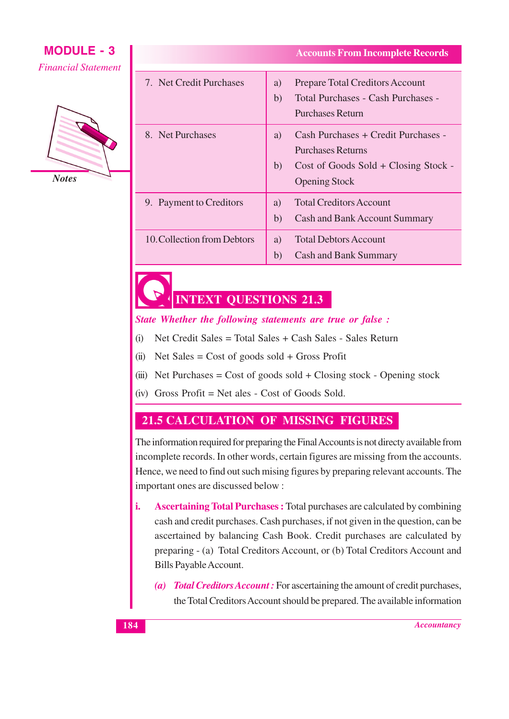

| 7. Net Credit Purchases     | a)<br>b) | <b>Prepare Total Creditors Account</b><br>Total Purchases - Cash Purchases -<br><b>Purchases Return</b>                         |
|-----------------------------|----------|---------------------------------------------------------------------------------------------------------------------------------|
| 8. Net Purchases            | a)<br>b) | Cash Purchases + Credit Purchases -<br><b>Purchases Returns</b><br>Cost of Goods Sold + Closing Stock -<br><b>Opening Stock</b> |
| 9. Payment to Creditors     | a)<br>b) | <b>Total Creditors Account</b><br><b>Cash and Bank Account Summary</b>                                                          |
| 10. Collection from Debtors | a)       | <b>Total Debtors Account</b>                                                                                                    |

**Accounts From Incomplete Records** 

Cash and Bank Summary

## **INTEXT QUESTIONS 21.3**

#### State Whether the following statements are true or false :

Net Credit Sales = Total Sales + Cash Sales - Sales Return  $(i)$ 

 $\mathbf{b}$ 

- Net Sales =  $Cost of goods sold + Gross Profit$  $(ii)$
- (iii) Net Purchases = Cost of goods sold + Closing stock Opening stock
- $(iv)$  Gross Profit = Net ales Cost of Goods Sold.

#### 21.5 CALCULATION OF MISSING FIGURES

The information required for preparing the Final Accounts is not directy available from incomplete records. In other words, certain figures are missing from the accounts. Hence, we need to find out such mising figures by preparing relevant accounts. The important ones are discussed below:

- **Ascertaining Total Purchases:** Total purchases are calculated by combining i. cash and credit purchases. Cash purchases, if not given in the question, can be ascertained by balancing Cash Book. Credit purchases are calculated by preparing - (a) Total Creditors Account, or (b) Total Creditors Account and **Bills Payable Account.** 
	- (a) Total Creditors Account: For ascertaining the amount of credit purchases, the Total Creditors Account should be prepared. The available information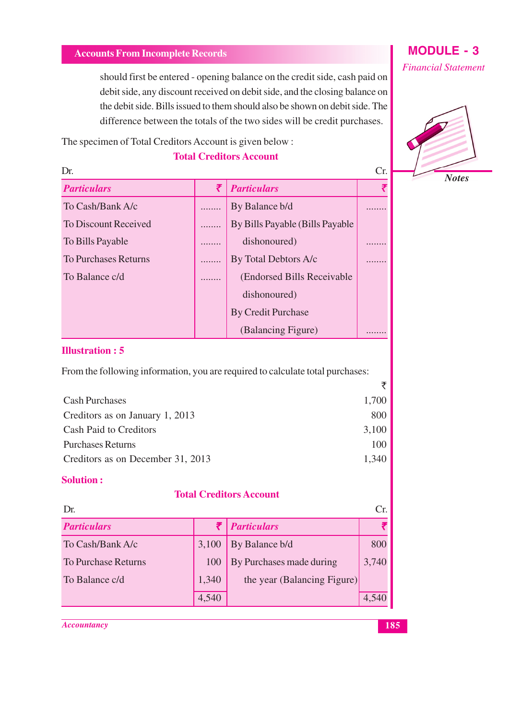should first be entered - opening balance on the credit side, cash paid on debit side, any discount received on debit side, and the closing balance on the debit side. Bills issued to them should also be shown on debit side. The difference between the totals of the two sides will be credit purchases.

The specimen of Total Creditors Account is given below:

#### **Total Creditors Account**

| Dr.                         |   |                                 | Cr. |
|-----------------------------|---|---------------------------------|-----|
| <b>Particulars</b>          | ₹ | <b>Particulars</b>              | ₹   |
| To Cash/Bank A/c            | . | By Balance b/d                  |     |
| To Discount Received        |   | By Bills Payable (Bills Payable |     |
| To Bills Payable            |   | dishonoured)                    |     |
| <b>To Purchases Returns</b> |   | By Total Debtors A/c            |     |
| To Balance c/d              |   | (Endorsed Bills Receivable)     |     |
|                             |   | dishonoured)                    |     |
|                             |   | <b>By Credit Purchase</b>       |     |
|                             |   | (Balancing Figure)              |     |

#### **Illustration: 5**

From the following information, you are required to calculate total purchases:

| 1,700 |
|-------|
| 800   |
| 3,100 |
| 100   |
| 1,340 |
|       |

#### **Solution:**

#### **Total Creditors Account**

| Dr.                 |       |                             | Cr.   |
|---------------------|-------|-----------------------------|-------|
| <b>Particulars</b>  |       | <i>Particulars</i>          |       |
| To Cash/Bank A/c    | 3,100 | By Balance b/d              | 800   |
| To Purchase Returns | 100   | By Purchases made during    | 3,740 |
| To Balance c/d      | 1,340 | the year (Balancing Figure) |       |
|                     | 4,540 |                             | 4.540 |

**Accountancy** 



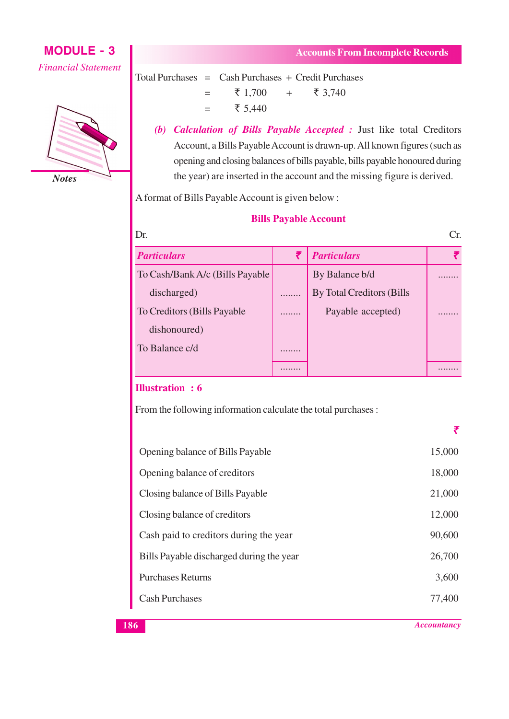

- Total Purchases = Cash Purchases + Credit Purchases ₹ 1.700 ₹ 3.740  $\ddot{+}$  $\overline{\phantom{0}}$ ₹ 5.440  $\equiv$ 
	- (b) Calculation of Bills Payable Accepted : Just like total Creditors Account, a Bills Payable Account is drawn-up. All known figures (such as opening and closing balances of bills payable, bills payable honoured during the year) are inserted in the account and the missing figure is derived.

A format of Bills Payable Account is given below:

#### **Bills Payable Account**

| Dr.                              |   |                                  | $\cap$ r. |
|----------------------------------|---|----------------------------------|-----------|
| <b>Particulars</b>               |   | <b>Particulars</b>               |           |
| To Cash/Bank A/c (Bills Payable) |   | By Balance b/d                   |           |
| discharged)                      | . | <b>By Total Creditors (Bills</b> |           |
| To Creditors (Bills Payable)     |   | Payable accepted)                |           |
| dishonoured)                     |   |                                  |           |
| To Balance c/d                   |   |                                  |           |
|                                  | . |                                  |           |

#### **Illustration: 6**

From the following information calculate the total purchases :

| Opening balance of Bills Payable         | 15,000 |
|------------------------------------------|--------|
| Opening balance of creditors             | 18,000 |
| Closing balance of Bills Payable         | 21,000 |
| Closing balance of creditors             | 12,000 |
| Cash paid to creditors during the year   | 90,600 |
| Bills Payable discharged during the year | 26,700 |
| <b>Purchases Returns</b>                 | 3,600  |
| <b>Cash Purchases</b>                    | 77,400 |
|                                          |        |

**Accountancy** 

罗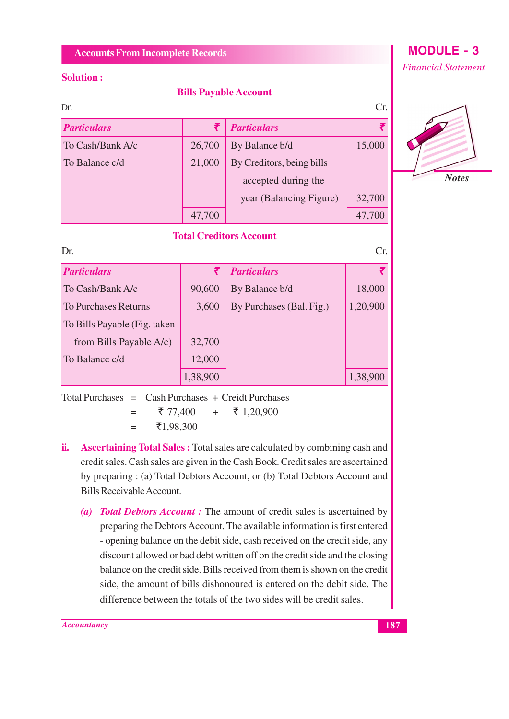#### **Solution:**

#### **Bills Payable Account**

| Dr.                |        |                           | Сr.    |
|--------------------|--------|---------------------------|--------|
| <b>Particulars</b> | ₹      | <b>Particulars</b>        |        |
| To Cash/Bank A/c   | 26,700 | By Balance b/d            | 15,000 |
| To Balance c/d     | 21,000 | By Creditors, being bills |        |
|                    |        | accepted during the       |        |
|                    |        | year (Balancing Figure)   | 32,700 |
|                    | 47,700 |                           |        |

#### **Total Creditors Account**

| Dr.                          |          |                          | Cr.      |
|------------------------------|----------|--------------------------|----------|
| <b>Particulars</b>           | ₹        | <b>Particulars</b>       | ₹        |
| To Cash/Bank A/c             | 90,600   | By Balance b/d           | 18,000   |
| <b>To Purchases Returns</b>  | 3,600    | By Purchases (Bal. Fig.) | 1,20,900 |
| To Bills Payable (Fig. taken |          |                          |          |
| from Bills Payable $A/c$ )   | 32,700   |                          |          |
| To Balance c/d               | 12,000   |                          |          |
|                              | 1,38,900 |                          | 1,38,900 |

Total Purchases =  $\text{Cash}$  Purchases + Creidt Purchases ₹ 77,400  $+$ ₹ 1,20,900  $=$ ₹1,98,300  $=$ 

- ii. Ascertaining Total Sales: Total sales are calculated by combining cash and credit sales. Cash sales are given in the Cash Book. Credit sales are ascertained by preparing: (a) Total Debtors Account, or (b) Total Debtors Account and Bills Receivable Account.
	- (a) Total Debtors Account: The amount of credit sales is ascertained by preparing the Debtors Account. The available information is first entered - opening balance on the debit side, cash received on the credit side, any discount allowed or bad debt written off on the credit side and the closing balance on the credit side. Bills received from them is shown on the credit side, the amount of bills dishonoured is entered on the debit side. The difference between the totals of the two sides will be credit sales.

## **MODULE - 3**

**Financial Statement** 

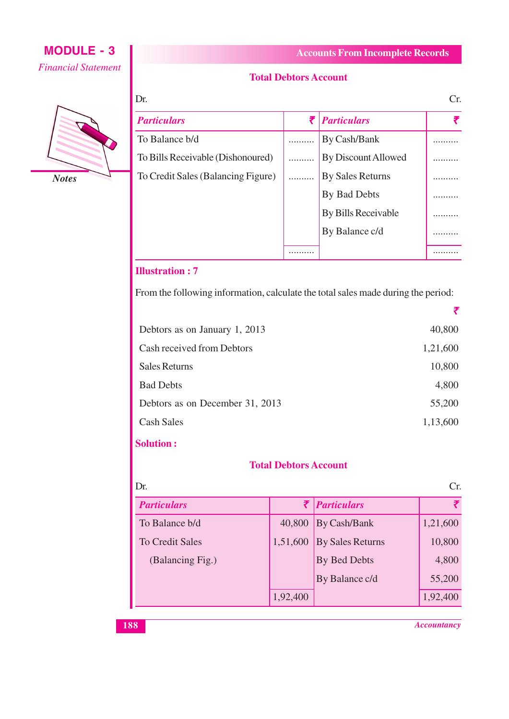

| Dr.<br>Cr                          |   |                            |  |
|------------------------------------|---|----------------------------|--|
| <b>Particulars</b>                 | ₹ | Particulars                |  |
| To Balance b/d                     |   | By Cash/Bank               |  |
| To Bills Receivable (Dishonoured)  |   | <b>By Discount Allowed</b> |  |
| To Credit Sales (Balancing Figure) |   | <b>By Sales Returns</b>    |  |
|                                    |   | By Bad Debts               |  |
|                                    |   | By Bills Receivable        |  |
|                                    |   | By Balance c/d             |  |

#### **Illustration: 7**

From the following information, calculate the total sales made during the period:

. . . . . . . . . .

|                                 | ₹        |
|---------------------------------|----------|
| Debtors as on January 1, 2013   | 40,800   |
| Cash received from Debtors      | 1,21,600 |
| <b>Sales Returns</b>            | 10,800   |
| <b>Bad Debts</b>                | 4,800    |
| Debtors as on December 31, 2013 | 55,200   |
| <b>Cash Sales</b>               | 1,13,600 |

#### **Solution:**

#### **Total Debtors Account**

| Dr.                    |          |                                  | $\cap_{\mathbf{r}}$ |
|------------------------|----------|----------------------------------|---------------------|
| <b>Particulars</b>     |          | <i><u><b>Particulars</b></u></i> | ₹                   |
| To Balance b/d         | 40,800   | By Cash/Bank                     | 1,21,600            |
| <b>To Credit Sales</b> | 1,51,600 | <b>By Sales Returns</b>          | 10,800              |
| (Balancing Fig.)       |          | By Bed Debts                     | 4,800               |
|                        |          | By Balance c/d                   | 55,200              |
|                        | 1,92,400 |                                  | 1,92,400            |

**Accountancy** 

. . . . . . . . . .

#### **Accounts From Incomplete Records**

#### **Total Debtors Account**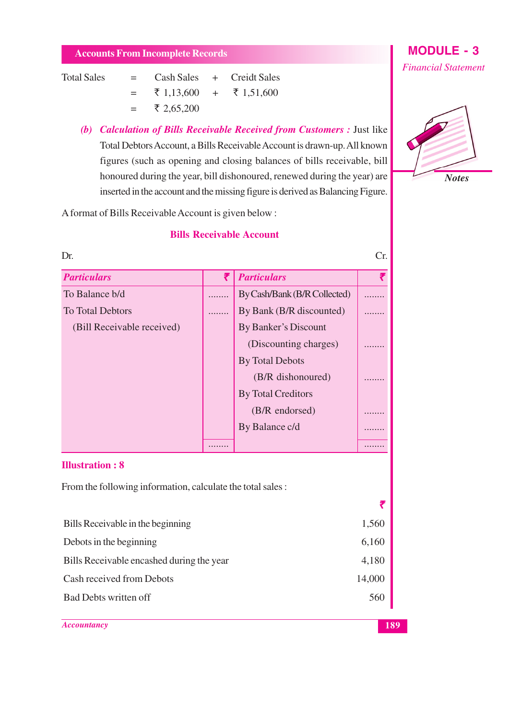#### **Total Sales**

**Creidt Sales**  $=$ **Cash Sales**  $\ddot{+}$ ₹ 1,13,600 ₹ 1,51,600  $=$  $\ddot{+}$ ₹ 2,65,200  $=$ 

(b) Calculation of Bills Receivable Received from Customers : Just like Total Debtors Account, a Bills Receivable Account is drawn-up. All known figures (such as opening and closing balances of bills receivable, bill honoured during the year, bill dishonoured, renewed during the year) are inserted in the account and the missing figure is derived as Balancing Figure.

A format of Bills Receivable Account is given below:

#### **Bills Receivable Account**

| Dr.                        |   |                              |                      |
|----------------------------|---|------------------------------|----------------------|
| <b>Particulars</b>         | ₹ | <b>Particulars</b>           |                      |
| To Balance b/d             | . | By Cash/Bank (B/R Collected) |                      |
| <b>To Total Debtors</b>    |   | By Bank (B/R discounted)     |                      |
| (Bill Receivable received) |   | By Banker's Discount         |                      |
|                            |   | (Discounting charges)        |                      |
|                            |   | <b>By Total Debots</b>       |                      |
|                            |   | (B/R dishonoured)            |                      |
|                            |   | <b>By Total Creditors</b>    |                      |
|                            |   | (B/R endorsed)               |                      |
|                            |   | By Balance c/d               |                      |
|                            |   |                              | $\ddot{\phantom{0}}$ |

#### **Illustration: 8**

| From the following information, calculate the total sales: |        |
|------------------------------------------------------------|--------|
|                                                            | ₹      |
| Bills Receivable in the beginning                          | 1,560  |
| Debots in the beginning                                    | 6,160  |
| Bills Receivable encashed during the year                  | 4,180  |
| Cash received from Debots                                  | 14,000 |
| <b>Bad Debts written off</b>                               | 560    |
|                                                            |        |

**Accountancy** 



Cr.

₹

 $\cdots$ 

. . . . .

. . . .

. . . . . . . . . . . . . . . .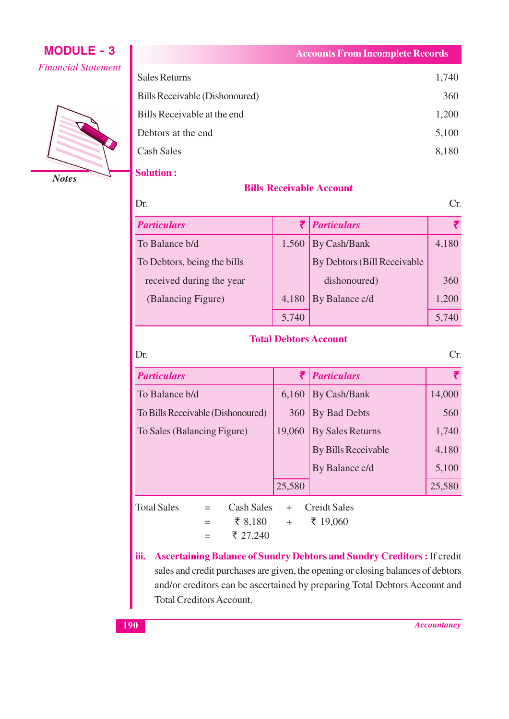

| <b>Sales Returns</b>           | 1,740 |
|--------------------------------|-------|
| Bills Receivable (Dishonoured) | 360   |
| Bills Receivable at the end    | 1,200 |
| Debtors at the end             | 5,100 |
| Cash Sales                     | 8,180 |
|                                |       |

**Accounts From Incomplete Records** 

**Solution:** 

Dr.

#### **Bills Receivable Account**

 $Cr.$ 

Cr.

| <b>Particulars</b>          |       | <i><b>Particulars</b></i>   |       |
|-----------------------------|-------|-----------------------------|-------|
| To Balance b/d              | 1,560 | By Cash/Bank                | 4,180 |
| To Debtors, being the bills |       | By Debtors (Bill Receivable |       |
| received during the year    |       | dishonoured)                | 360   |
| (Balancing Figure)          | 4,180 | By Balance c/d              | 1,200 |
|                             | 5,740 |                             | 5,740 |

#### **Total Debtors Account**

#### Dr.

| <b>Particulars</b>                |            | ₹      | <b>Particulars</b>         | ₹      |
|-----------------------------------|------------|--------|----------------------------|--------|
| To Balance b/d                    |            | 6,160  | By Cash/Bank               | 14,000 |
| To Bills Receivable (Dishonoured) |            | 360    | By Bad Debts               | 560    |
| To Sales (Balancing Figure)       |            | 19,060 | <b>By Sales Returns</b>    | 1,740  |
|                                   |            |        | <b>By Bills Receivable</b> | 4,180  |
|                                   |            |        | By Balance c/d             | 5,100  |
|                                   |            | 25,580 |                            | 25,580 |
| <b>Total Sales</b>                | Cash Sales | $+$    | <b>Creidt Sales</b>        |        |
|                                   | ₹ 8,180    | $+$    | ₹ 19,060                   |        |

#### 8,180 ₹ 27,240

 $=$ 

iii. Ascertaining Balance of Sundry Debtors and Sundry Creditors : If credit sales and credit purchases are given, the opening or closing balances of debtors and/or creditors can be ascertained by preparing Total Debtors Account and **Total Creditors Account.**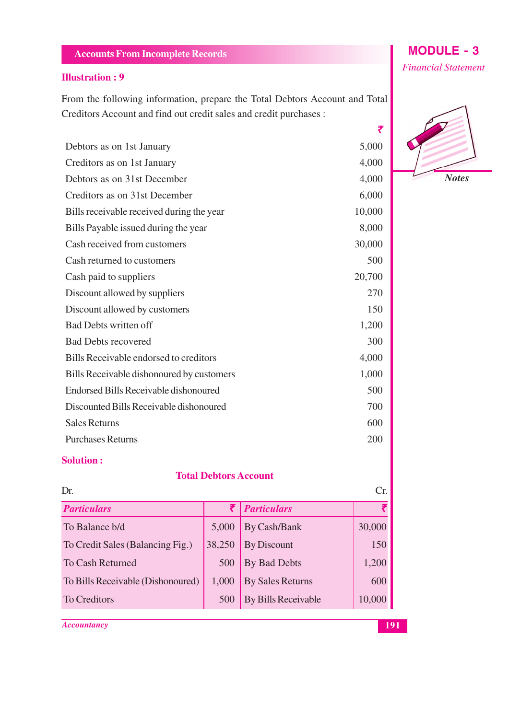#### **Illustration: 9**

From the following information, prepare the Total Debtors Account and Total Creditors Account and find out credit sales and credit purchases :

| Debtors as on 1st January                 | 5,000  |
|-------------------------------------------|--------|
| Creditors as on 1st January               | 4,000  |
| Debtors as on 31st December               | 4,000  |
| Creditors as on 31st December             | 6,000  |
| Bills receivable received during the year | 10,000 |
| Bills Payable issued during the year      | 8,000  |
| Cash received from customers              | 30,000 |
| Cash returned to customers                | 500    |
| Cash paid to suppliers                    | 20,700 |
| Discount allowed by suppliers             | 270    |
| Discount allowed by customers             | 150    |
| <b>Bad Debts written off</b>              | 1,200  |
| <b>Bad Debts recovered</b>                | 300    |
| Bills Receivable endorsed to creditors    | 4,000  |
| Bills Receivable dishonoured by customers | 1,000  |
| Endorsed Bills Receivable dishonoured     | 500    |
| Discounted Bills Receivable dishonoured   | 700    |
| <b>Sales Returns</b>                      | 600    |
| <b>Purchases Returns</b>                  | 200    |

#### **Solution:**

#### **Total Debtors Account**

| Dr.<br>Cr.                        |        |                            |        |
|-----------------------------------|--------|----------------------------|--------|
| <b>Particulars</b>                |        | <i><b>Particulars</b></i>  | ₹      |
| To Balance b/d                    | 5,000  | By Cash/Bank               | 30,000 |
| To Credit Sales (Balancing Fig.)  | 38,250 | <b>By Discount</b>         | 150    |
| <b>To Cash Returned</b>           | 500    | By Bad Debts               | 1,200  |
| To Bills Receivable (Dishonoured) | 1,000  | <b>By Sales Returns</b>    | 600    |
| <b>To Creditors</b>               | 500    | <b>By Bills Receivable</b> | 10,000 |

**Accountancy** 



₹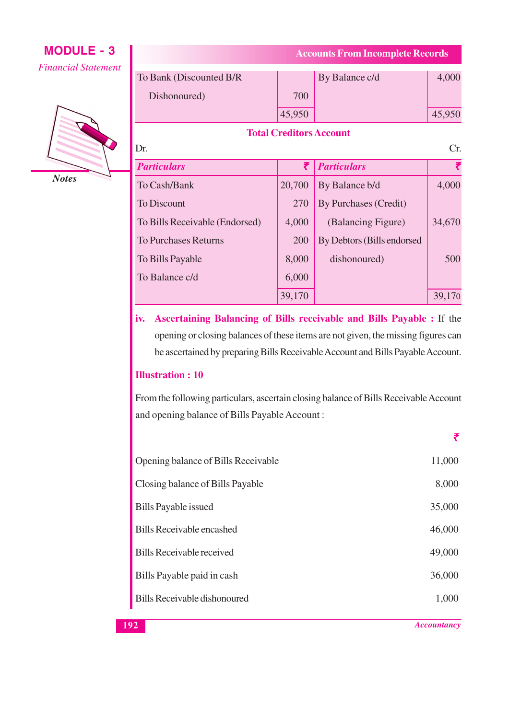$\overline{1}$ 



**Notes** 

| To Bank (Discounted B/R |     | By Balance c/d | 4,000 |
|-------------------------|-----|----------------|-------|
| Dishonoured)            | 700 |                |       |
|                         |     |                |       |

**Accounts From Incomplete Records** 

 $\sim$ 

#### **Total Creditors Account**

| Dr.                            |        |                             | UT.    |
|--------------------------------|--------|-----------------------------|--------|
| <b>Particulars</b>             |        | <b>Particulars</b>          | ₹      |
| To Cash/Bank                   | 20,700 | By Balance b/d              | 4,000  |
| To Discount                    | 270    | By Purchases (Credit)       |        |
| To Bills Receivable (Endorsed) | 4,000  | (Balancing Figure)          | 34,670 |
| <b>To Purchases Returns</b>    | 200    | By Debtors (Bills endorsed) |        |
| To Bills Payable               | 8,000  | dishonoured)                | 500    |
| To Balance c/d                 | 6,000  |                             |        |
|                                | 39,170 |                             | 39,170 |

Ascertaining Balancing of Bills receivable and Bills Payable : If the iv. opening or closing balances of these items are not given, the missing figures can be ascertained by preparing Bills Receivable Account and Bills Payable Account.

#### **Illustration: 10**

From the following particulars, ascertain closing balance of Bills Receivable Account and opening balance of Bills Payable Account:

|                                     | ₹      |
|-------------------------------------|--------|
| Opening balance of Bills Receivable | 11,000 |
| Closing balance of Bills Payable    | 8,000  |
| <b>Bills Payable issued</b>         | 35,000 |
| Bills Receivable encashed           | 46,000 |
| Bills Receivable received           | 49,000 |
| Bills Payable paid in cash          | 36,000 |
| Bills Receivable dishonoured        | 1,000  |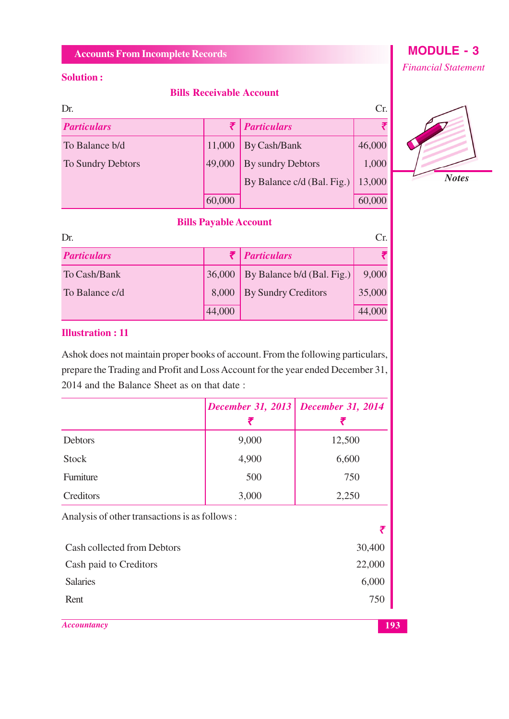#### **Solution:**

#### **Bills Receivable Account**

| Dr.                |        |                            | Сr.    |
|--------------------|--------|----------------------------|--------|
| <b>Particulars</b> |        | <i><b>Particulars</b></i>  |        |
| To Balance b/d     | 11,000 | By Cash/Bank               | 46,000 |
| To Sundry Debtors  | 49,000 | By sundry Debtors          | 1,000  |
|                    |        | By Balance c/d (Bal. Fig.) | 13,000 |
|                    | 60,000 |                            | 60,000 |

#### **Bills Payable Account**

| Dr.                |        |                            | ∋г.    |
|--------------------|--------|----------------------------|--------|
| <b>Particulars</b> |        | ₹   Particulars            |        |
| To Cash/Bank       | 36,000 | By Balance b/d (Bal. Fig.) | 9,000  |
| To Balance c/d     | 8,000  | <b>By Sundry Creditors</b> | 35,000 |
|                    | 44,000 |                            | 44,000 |

#### **Illustration: 11**

Ashok does not maintain proper books of account. From the following particulars, prepare the Trading and Profit and Loss Account for the year ended December 31, 2014 and the Balance Sheet as on that date:

|                                               | ₹     | December 31, 2013   December 31, 2014<br>₹ |
|-----------------------------------------------|-------|--------------------------------------------|
| <b>Debtors</b>                                | 9,000 | 12,500                                     |
| <b>Stock</b>                                  | 4,900 | 6,600                                      |
| Furniture                                     | 500   | 750                                        |
| Creditors                                     | 3,000 | 2,250                                      |
| Analysis of other transactions is as follows: |       | ₹                                          |
| Cash collected from Debtors                   |       | 30,400                                     |
| Cash paid to Creditors                        |       | 22,000                                     |
| <b>Salaries</b>                               |       | 6,000                                      |

**Salaries** 

Rent

**Accountancy** 

## **MODULE - 3**

**Financial Statement** 



750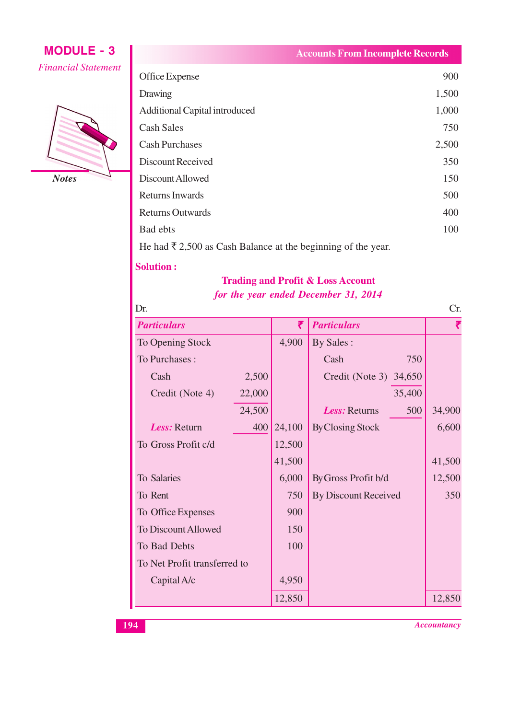## **MODULE - 3 Financial Statement**



| Office Expense                                                                                                                                                                                                                                                                                                                     | 900   |
|------------------------------------------------------------------------------------------------------------------------------------------------------------------------------------------------------------------------------------------------------------------------------------------------------------------------------------|-------|
| Drawing                                                                                                                                                                                                                                                                                                                            | 1,500 |
| <b>Additional Capital introduced</b>                                                                                                                                                                                                                                                                                               | 1,000 |
| <b>Cash Sales</b>                                                                                                                                                                                                                                                                                                                  | 750   |
| <b>Cash Purchases</b>                                                                                                                                                                                                                                                                                                              | 2,500 |
| <b>Discount Received</b>                                                                                                                                                                                                                                                                                                           | 350   |
| Discount Allowed                                                                                                                                                                                                                                                                                                                   | 150   |
| <b>Returns Inwards</b>                                                                                                                                                                                                                                                                                                             | 500   |
| <b>Returns Outwards</b>                                                                                                                                                                                                                                                                                                            | 400   |
| Bad ebts                                                                                                                                                                                                                                                                                                                           | 100   |
| $\mathbf{H}$ $\mathbf{H}$ $\mathbf{H}$ $\mathbf{H}$ $\mathbf{H}$ $\mathbf{H}$ $\mathbf{H}$ $\mathbf{H}$ $\mathbf{H}$ $\mathbf{H}$ $\mathbf{H}$ $\mathbf{H}$ $\mathbf{H}$ $\mathbf{H}$ $\mathbf{H}$ $\mathbf{H}$ $\mathbf{H}$ $\mathbf{H}$ $\mathbf{H}$ $\mathbf{H}$ $\mathbf{H}$ $\mathbf{H}$ $\mathbf{H}$ $\mathbf{H}$ $\mathbf{$ |       |

He had  $\bar{\tau}$  2,500 as Cash Balance at the beginning of the year.

#### **Solution:**

#### **Trading and Profit & Loss Account** for the year ended December 31, 2014

#### Dr.

| <b>Particulars</b>           | ₹      | <b>Particulars</b>          | ₹      |
|------------------------------|--------|-----------------------------|--------|
| To Opening Stock             | 4,900  | By Sales:                   |        |
| To Purchases:                |        | Cash<br>750                 |        |
| 2,500<br>Cash                |        | Credit (Note 3) 34,650      |        |
| 22,000<br>Credit (Note 4)    |        | 35,400                      |        |
| 24,500                       |        | Less: Returns<br>500        | 34,900 |
| Less: Return<br>400          | 24,100 | <b>By Closing Stock</b>     | 6,600  |
| To Gross Profit c/d          | 12,500 |                             |        |
|                              | 41,500 |                             | 41,500 |
| To Salaries                  | 6,000  | By Gross Profit b/d         | 12,500 |
| To Rent                      | 750    | <b>By Discount Received</b> | 350    |
| To Office Expenses           | 900    |                             |        |
| To Discount Allowed          | 150    |                             |        |
| To Bad Debts                 | 100    |                             |        |
| To Net Profit transferred to |        |                             |        |
| Capital A/c                  | 4,950  |                             |        |
|                              | 12,850 |                             | 12,850 |

**Accountancy** 

Cr.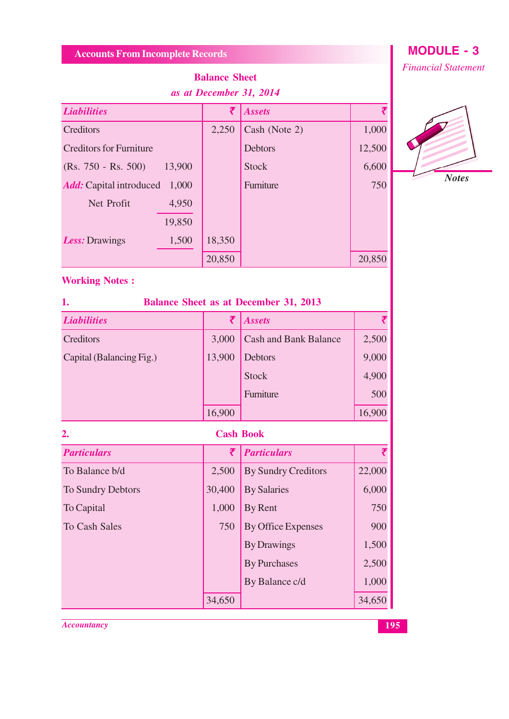| <b>Balance Sheet</b>                    |        |                |        |
|-----------------------------------------|--------|----------------|--------|
| as at December 31, 2014                 |        |                |        |
| <b>Liabilities</b>                      | ₹      | <b>Assets</b>  |        |
| Creditors                               | 2,250  | Cash (Note 2)  | 1,000  |
| <b>Creditors for Furniture</b>          |        | <b>Debtors</b> | 12,500 |
| 13,900<br>$(Rs. 750 - Rs. 500)$         |        | <b>Stock</b>   | 6,600  |
| 1,000<br><b>Add:</b> Capital introduced |        | Furniture      | 750    |
| 4,950<br>Net Profit                     |        |                |        |
| 19,850                                  |        |                |        |
| 1,500<br><b>Less:</b> Drawings          | 18,350 |                |        |
|                                         | 20,850 |                | 20,850 |

## **MODULE - 3**

**Financial Statement** 

# **Notes**

#### **Working Notes:**

| 1.<br><b>Balance Sheet as at December 31, 2013</b> |        |                              |        |
|----------------------------------------------------|--------|------------------------------|--------|
| <b>Liabilities</b>                                 | ₹      | <b>Assets</b>                | ₹      |
| Creditors                                          | 3,000  | <b>Cash and Bank Balance</b> | 2,500  |
| Capital (Balancing Fig.)                           | 13,900 | <b>Debtors</b>               | 9,000  |
|                                                    |        | <b>Stock</b>                 | 4,900  |
|                                                    |        | Furniture                    | 500    |
|                                                    | 16,900 |                              | 16,900 |
| 2.                                                 |        | <b>Cash Book</b>             |        |
| <b>Particulars</b>                                 | ₹      | <b>Particulars</b>           | ₹      |
| To Balance b/d                                     | 2,500  | <b>By Sundry Creditors</b>   | 22,000 |
| To Sundry Debtors                                  | 30,400 | <b>By Salaries</b>           | 6,000  |
| To Capital                                         | 1,000  | By Rent                      | 750    |
| <b>To Cash Sales</b>                               | 750    | <b>By Office Expenses</b>    | 900    |
|                                                    |        | <b>By Drawings</b>           | 1,500  |
|                                                    |        | <b>By Purchases</b>          | 2,500  |
|                                                    |        | By Balance c/d               | 1,000  |
|                                                    | 34,650 |                              | 34,650 |

Accountancy

195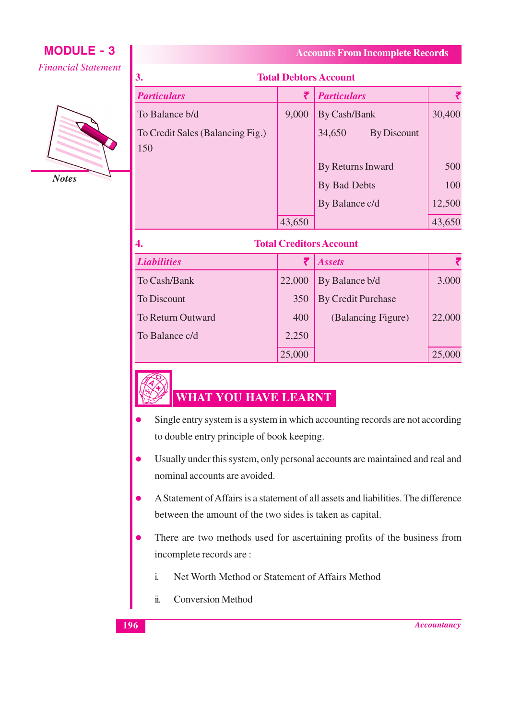

| <b>Total Debtors Account</b><br>3.      |        |                                |        |
|-----------------------------------------|--------|--------------------------------|--------|
| <b>Particulars</b>                      | ₹      | <b>Particulars</b>             |        |
| To Balance b/d                          | 9,000  | By Cash/Bank                   | 30,400 |
| To Credit Sales (Balancing Fig.)<br>150 |        | <b>By Discount</b><br>34,650   |        |
|                                         |        | By Returns Inward              | 500    |
|                                         |        | By Bad Debts                   | 100    |
|                                         |        | By Balance c/d                 | 12,500 |
|                                         | 43,650 |                                | 43,650 |
| 4.                                      |        | <b>Total Creditors Account</b> |        |
| <b>Liabilities</b>                      | ₹      | <b>Assets</b>                  |        |
| To Cash/Bank                            | 22,000 | By Balance b/d                 | 3,000  |
| To Discount                             | 350    | <b>By Credit Purchase</b>      |        |

To Return Outward

To Balance c/d

## WHAT YOU HAVE LEARNT

Single entry system is a system in which accounting records are not according to double entry principle of book keeping.

400

2,250

25,000

- Usually under this system, only personal accounts are maintained and real and nominal accounts are avoided.
- A Statement of Affairs is a statement of all assets and liabilities. The difference between the amount of the two sides is taken as capital.
- There are two methods used for ascertaining profits of the business from incomplete records are:
	- Net Worth Method or Statement of Affairs Method  $\mathbf{i}$ .
	- ii. **Conversion Method**

#### **Accountancy**

22,000

25,000

## **Accounts From Incomplete Records**

(Balancing Figure)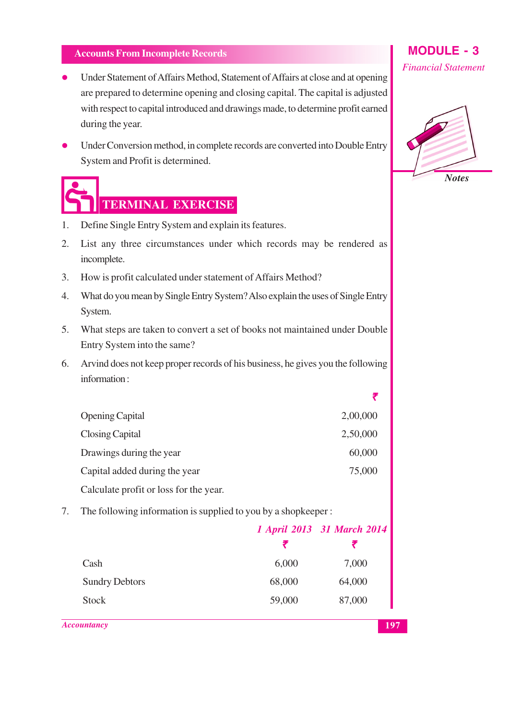- Under Statement of Affairs Method, Statement of Affairs at close and at opening are prepared to determine opening and closing capital. The capital is adjusted with respect to capital introduced and drawings made, to determine profit earned during the year.
- Under Conversion method, in complete records are converted into Double Entry System and Profit is determined.



## **TERMINAL EXERCISE**

- 1. Define Single Entry System and explain its features.
- $2.$ List any three circumstances under which records may be rendered as incomplete.
- How is profit calculated under statement of Affairs Method?  $3.$
- $4.$ What do you mean by Single Entry System? Also explain the uses of Single Entry System.
- 5. What steps are taken to convert a set of books not maintained under Double Entry System into the same?
- 6. Arvind does not keep proper records of his business, he gives you the following information:

| <b>Opening Capital</b>                 | 2,00,000 |
|----------------------------------------|----------|
| Closing Capital                        | 2,50,000 |
| Drawings during the year               | 60,000   |
| Capital added during the year          | 75,000   |
| Calculate profit or loss for the year. |          |

7. The following information is supplied to you by a shopkeeper:

|                       |        | 1 April 2013 31 March 2014 |
|-----------------------|--------|----------------------------|
|                       |        |                            |
| Cash                  | 6,000  | 7,000                      |
| <b>Sundry Debtors</b> | 68,000 | 64,000                     |
| <b>Stock</b>          | 59,000 | 87,000                     |